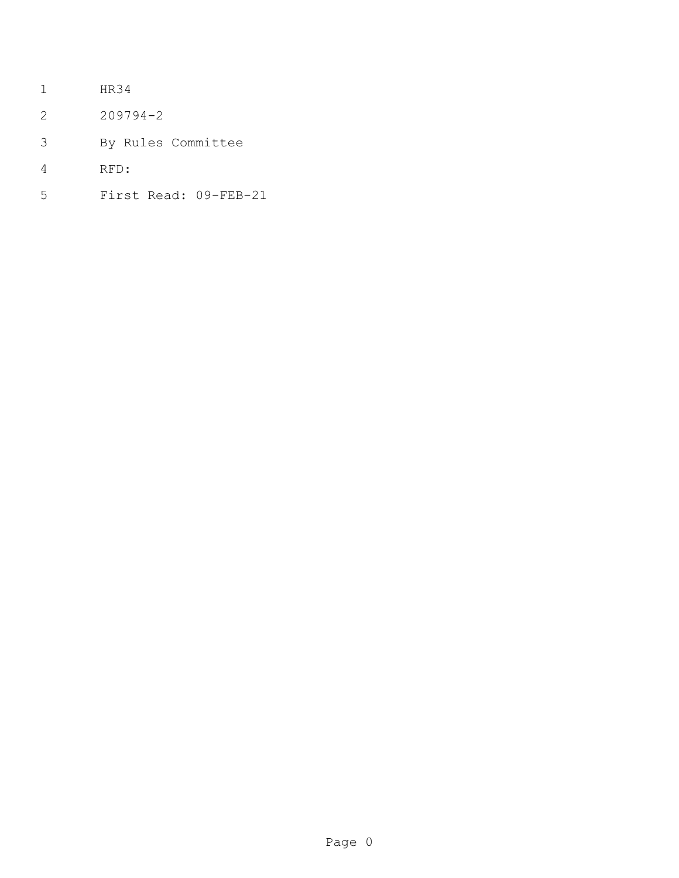- HR34
- 209794-2
- By Rules Committee
- RFD:
- First Read: 09-FEB-21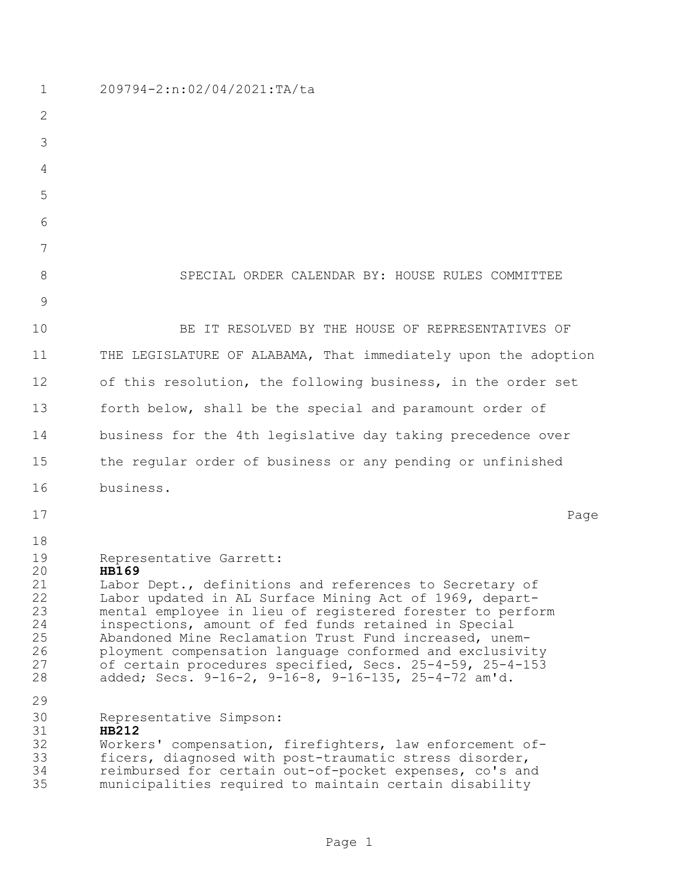| $\mathbf 1$                                                    | 209794-2:n:02/04/2021:TA/ta                                                                                                                                                                                                                                                                                                                                                                                                                                                                                                  |
|----------------------------------------------------------------|------------------------------------------------------------------------------------------------------------------------------------------------------------------------------------------------------------------------------------------------------------------------------------------------------------------------------------------------------------------------------------------------------------------------------------------------------------------------------------------------------------------------------|
| $\mathbf{2}$                                                   |                                                                                                                                                                                                                                                                                                                                                                                                                                                                                                                              |
| 3                                                              |                                                                                                                                                                                                                                                                                                                                                                                                                                                                                                                              |
| 4                                                              |                                                                                                                                                                                                                                                                                                                                                                                                                                                                                                                              |
| 5                                                              |                                                                                                                                                                                                                                                                                                                                                                                                                                                                                                                              |
| 6                                                              |                                                                                                                                                                                                                                                                                                                                                                                                                                                                                                                              |
| 7                                                              |                                                                                                                                                                                                                                                                                                                                                                                                                                                                                                                              |
| 8                                                              | SPECIAL ORDER CALENDAR BY: HOUSE RULES COMMITTEE                                                                                                                                                                                                                                                                                                                                                                                                                                                                             |
| $\mathcal{G}$                                                  |                                                                                                                                                                                                                                                                                                                                                                                                                                                                                                                              |
| 10                                                             | BE IT RESOLVED BY THE HOUSE OF REPRESENTATIVES OF                                                                                                                                                                                                                                                                                                                                                                                                                                                                            |
| 11                                                             | THE LEGISLATURE OF ALABAMA, That immediately upon the adoption                                                                                                                                                                                                                                                                                                                                                                                                                                                               |
| 12                                                             | of this resolution, the following business, in the order set                                                                                                                                                                                                                                                                                                                                                                                                                                                                 |
| 13                                                             | forth below, shall be the special and paramount order of                                                                                                                                                                                                                                                                                                                                                                                                                                                                     |
| 14                                                             | business for the 4th legislative day taking precedence over                                                                                                                                                                                                                                                                                                                                                                                                                                                                  |
| 15                                                             | the regular order of business or any pending or unfinished                                                                                                                                                                                                                                                                                                                                                                                                                                                                   |
| 16                                                             | business.                                                                                                                                                                                                                                                                                                                                                                                                                                                                                                                    |
| 17                                                             | Page                                                                                                                                                                                                                                                                                                                                                                                                                                                                                                                         |
| 18<br>19<br>20<br>21<br>22<br>23<br>24<br>25<br>26<br>27<br>28 | Representative Garrett:<br><b>HB169</b><br>Labor Dept., definitions and references to Secretary of<br>Labor updated in AL Surface Mining Act of 1969, depart-<br>mental employee in lieu of registered forester to perform<br>inspections, amount of fed funds retained in Special<br>Abandoned Mine Reclamation Trust Fund increased, unem-<br>ployment compensation language conformed and exclusivity<br>of certain procedures specified, Secs. 25-4-59, 25-4-153<br>added; Secs. 9-16-2, 9-16-8, 9-16-135, 25-4-72 am'd. |
| 29<br>30<br>31<br>32<br>33<br>34<br>35                         | Representative Simpson:<br><b>HB212</b><br>Workers' compensation, firefighters, law enforcement of-<br>ficers, diagnosed with post-traumatic stress disorder,<br>reimbursed for certain out-of-pocket expenses, co's and<br>municipalities required to maintain certain disability                                                                                                                                                                                                                                           |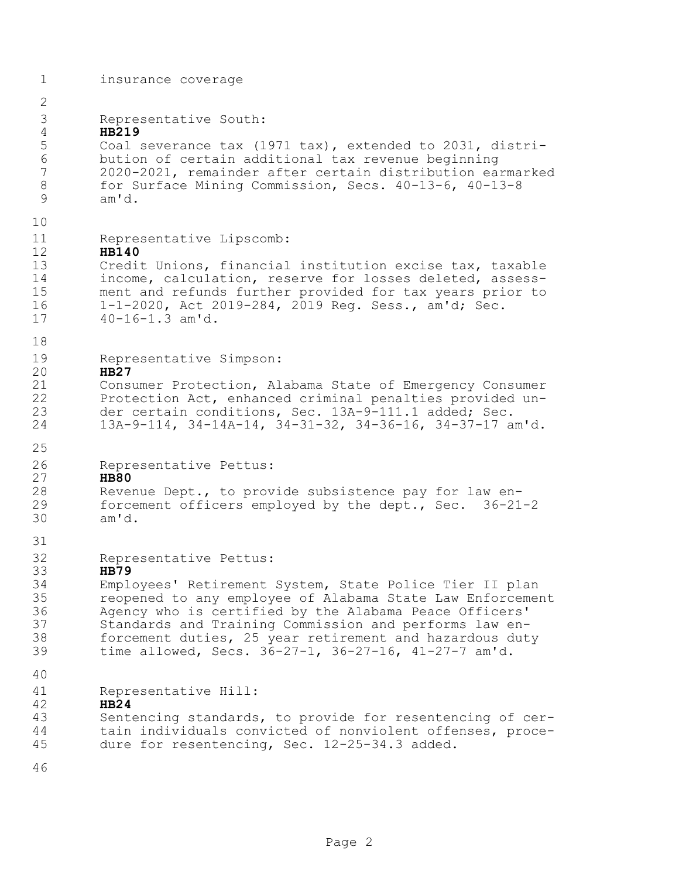| $\mathbf 1$                                                 | insurance coverage                                                                                                                                                                                                                                                                                                                                                                                   |
|-------------------------------------------------------------|------------------------------------------------------------------------------------------------------------------------------------------------------------------------------------------------------------------------------------------------------------------------------------------------------------------------------------------------------------------------------------------------------|
| $\mathbf 2$                                                 |                                                                                                                                                                                                                                                                                                                                                                                                      |
| 3<br>4<br>5<br>$\sqrt{6}$<br>$\overline{7}$<br>$\,8\,$<br>9 | Representative South:<br><b>HB219</b><br>Coal severance tax (1971 tax), extended to 2031, distri-<br>bution of certain additional tax revenue beginning<br>2020-2021, remainder after certain distribution earmarked<br>for Surface Mining Commission, Secs. 40-13-6, 40-13-8<br>am'd.                                                                                                               |
| 10                                                          |                                                                                                                                                                                                                                                                                                                                                                                                      |
| 11<br>12<br>13<br>14<br>15<br>16<br>17                      | Representative Lipscomb:<br><b>HB140</b><br>Credit Unions, financial institution excise tax, taxable<br>income, calculation, reserve for losses deleted, assess-<br>ment and refunds further provided for tax years prior to<br>1-1-2020, Act 2019-284, 2019 Req. Sess., am'd; Sec.<br>$40 - 16 - 1.3$ am'd.                                                                                         |
| 18                                                          |                                                                                                                                                                                                                                                                                                                                                                                                      |
| 19<br>20<br>21<br>22<br>23<br>24                            | Representative Simpson:<br><b>HB27</b><br>Consumer Protection, Alabama State of Emergency Consumer<br>Protection Act, enhanced criminal penalties provided un-<br>der certain conditions, Sec. 13A-9-111.1 added; Sec.<br>13A-9-114, 34-14A-14, 34-31-32, 34-36-16, 34-37-17 am'd.                                                                                                                   |
| 25<br>26                                                    | Representative Pettus:                                                                                                                                                                                                                                                                                                                                                                               |
| 27<br>28<br>29<br>30                                        | <b>HB80</b><br>Revenue Dept., to provide subsistence pay for law en-<br>forcement officers employed by the dept., Sec. 36-21-2<br>am'd.                                                                                                                                                                                                                                                              |
| 31                                                          |                                                                                                                                                                                                                                                                                                                                                                                                      |
| 32<br>33<br>34<br>35<br>36<br>37<br>38<br>39                | Representative Pettus:<br><b>HB79</b><br>Employees' Retirement System, State Police Tier II plan<br>reopened to any employee of Alabama State Law Enforcement<br>Agency who is certified by the Alabama Peace Officers'<br>Standards and Training Commission and performs law en-<br>forcement duties, 25 year retirement and hazardous duty<br>time allowed, Secs. 36-27-1, 36-27-16, 41-27-7 am'd. |
| 40                                                          |                                                                                                                                                                                                                                                                                                                                                                                                      |
| 41<br>42<br>43<br>44<br>45                                  | Representative Hill:<br>HB24<br>Sentencing standards, to provide for resentencing of cer-<br>tain individuals convicted of nonviolent offenses, proce-<br>dure for resentencing, Sec. 12-25-34.3 added.                                                                                                                                                                                              |
| 46                                                          |                                                                                                                                                                                                                                                                                                                                                                                                      |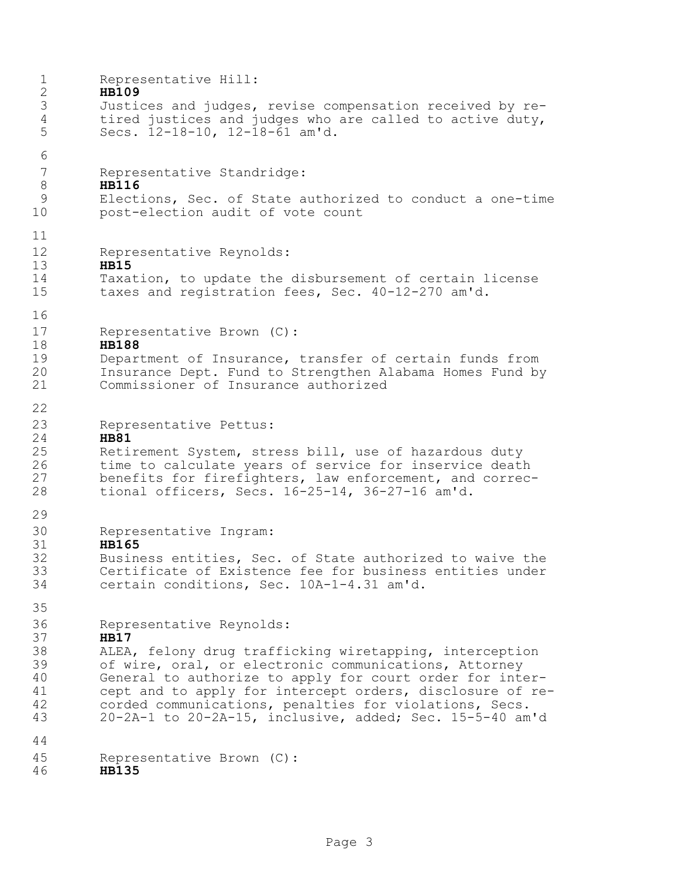| $\mathbf 1$<br>$\mathbf{2}$<br>$\mathfrak{Z}$<br>$\sqrt{4}$ | Representative Hill:<br><b>HB109</b><br>Justices and judges, revise compensation received by re-<br>tired justices and judges who are called to active duty,                                                                                                                                                                                                                                               |
|-------------------------------------------------------------|------------------------------------------------------------------------------------------------------------------------------------------------------------------------------------------------------------------------------------------------------------------------------------------------------------------------------------------------------------------------------------------------------------|
| 5                                                           | Secs. 12-18-10, 12-18-61 am'd.                                                                                                                                                                                                                                                                                                                                                                             |
| 6<br>$\boldsymbol{7}$<br>$\,8\,$<br>$\mathcal{G}$<br>10     | Representative Standridge:<br><b>HB116</b><br>Elections, Sec. of State authorized to conduct a one-time<br>post-election audit of vote count                                                                                                                                                                                                                                                               |
| 11<br>12                                                    | Representative Reynolds:                                                                                                                                                                                                                                                                                                                                                                                   |
| 13<br>14<br>15                                              | <b>HB15</b><br>Taxation, to update the disbursement of certain license<br>taxes and registration fees, Sec. 40-12-270 am'd.                                                                                                                                                                                                                                                                                |
| 16<br>17<br>18                                              | Representative Brown (C):<br><b>HB188</b>                                                                                                                                                                                                                                                                                                                                                                  |
| 19<br>20<br>21                                              | Department of Insurance, transfer of certain funds from<br>Insurance Dept. Fund to Strengthen Alabama Homes Fund by<br>Commissioner of Insurance authorized                                                                                                                                                                                                                                                |
| 22<br>23                                                    | Representative Pettus:                                                                                                                                                                                                                                                                                                                                                                                     |
| 24<br>25<br>26<br>27<br>28                                  | <b>HB81</b><br>Retirement System, stress bill, use of hazardous duty<br>time to calculate years of service for inservice death<br>benefits for firefighters, law enforcement, and correc-<br>tional officers, Secs. 16-25-14, 36-27-16 am'd.                                                                                                                                                               |
| 29<br>30                                                    | Representative Ingram:                                                                                                                                                                                                                                                                                                                                                                                     |
| 31<br>32<br>33<br>34                                        | <b>HB165</b><br>Business entities, Sec. of State authorized to waive the<br>Certificate of Existence fee for business entities under<br>certain conditions, Sec. 10A-1-4.31 am'd.                                                                                                                                                                                                                          |
| 35<br>36                                                    |                                                                                                                                                                                                                                                                                                                                                                                                            |
| 37<br>$38\,$<br>39<br>40<br>41<br>42<br>43                  | Representative Reynolds:<br><b>HB17</b><br>ALEA, felony drug trafficking wiretapping, interception<br>of wire, oral, or electronic communications, Attorney<br>General to authorize to apply for court order for inter-<br>cept and to apply for intercept orders, disclosure of re-<br>corded communications, penalties for violations, Secs.<br>20-2A-1 to 20-2A-15, inclusive, added; Sec. 15-5-40 am'd |
| 44                                                          |                                                                                                                                                                                                                                                                                                                                                                                                            |
| 45                                                          | Representative Brown (C):                                                                                                                                                                                                                                                                                                                                                                                  |

**HB135**